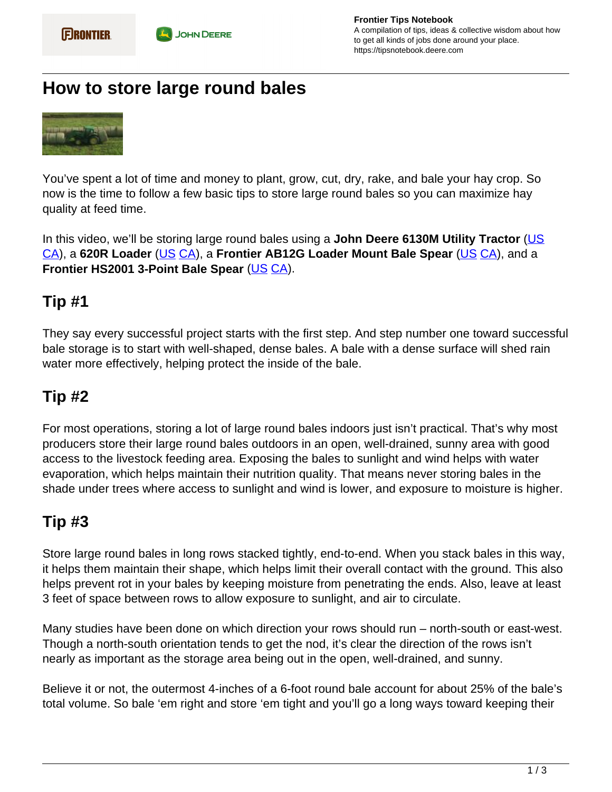# **How to store large round bales**



You've spent a lot of time and money to plant, grow, cut, dry, rake, and bale your hay crop. So now is the time to follow a few basic tips to store large round bales so you can maximize hay quality at feed time.

In this video, we'll be storing large round bales using a **John Deere 6130M Utility Tractor** [\(US](https://www.deere.com/en/tractors/utility-tractors/) CA), a **620R Loader** (US CA), a **Frontier AB12G Loader Mount Bale Spear** (US CA), and a **Frontier HS2001 3-Point Bale Spear** (US CA).

## **Tip #1**

They say every successful project starts with the first step. And step number one toward successful bale storage is to start with well-shaped, dense bales. A bale with a dense surface will shed rain water more effectively, helping protect the inside of the bale.

## **Tip #2**

For most operations, storing a lot of large round bales indoors just isn't practical. That's why most producers store their large round bales outdoors in an open, well-drained, sunny area with good access to the livestock feeding area. Exposing the bales to sunlight and wind helps with water evaporation, which helps maintain their nutrition quality. That means never storing bales in the shade under trees where access to sunlight and wind is lower, and exposure to moisture is higher.

## **Tip #3**

Store large round bales in long rows stacked tightly, end-to-end. When you stack bales in this way, it helps them maintain their shape, which helps limit their overall contact with the ground. This also helps prevent rot in your bales by keeping moisture from penetrating the ends. Also, leave at least 3 feet of space between rows to allow exposure to sunlight, and air to circulate.

Many studies have been done on which direction your rows should run – north-south or east-west. Though a north-south orientation tends to get the nod, it's clear the direction of the rows isn't nearly as important as the storage area being out in the open, well-drained, and sunny.

Believe it or not, the outermost 4-inches of a 6-foot round bale account for about 25% of the bale's total volume. So bale 'em right and store 'em tight and you'll go a long ways toward keeping their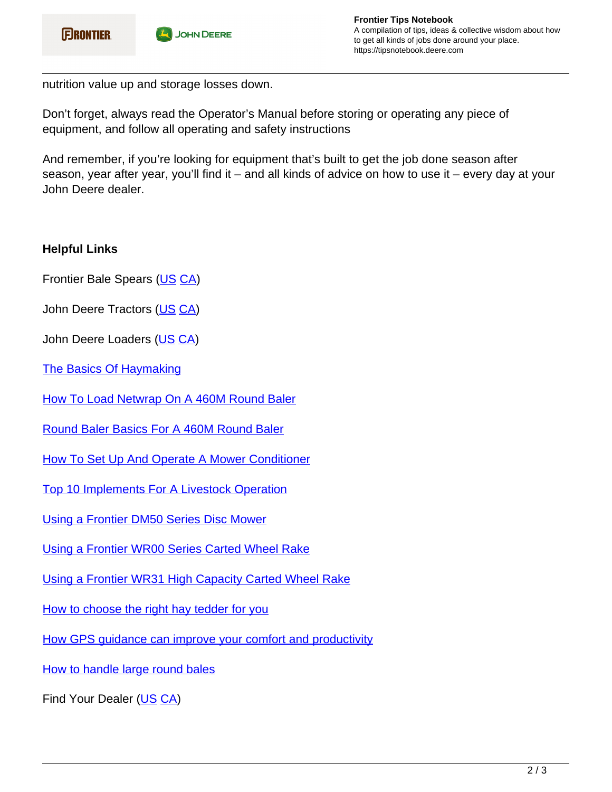nutrition value up and storage losses down.

Don't forget, always read the Operator's Manual before storing or operating any piece of equipment, and follow all operating and safety instructions

And remember, if you're looking for equipment that's built to get the job done season after season, year after year, you'll find it – and all kinds of advice on how to use it – every day at your John Deere dealer.

### **Helpful Links**

Frontier Bale Spears (US CA)

John Deere Tractors (US CA)

John Deere Loaders (US CA)

The Basics Of Haymaking

How To Load Netwrap On A 460M Round Baler

Round Baler Basics For A 460M Round Baler

How To Set Up And Operate A Mower Conditioner

Top 10 Implements For A Livestock Operation

Using a Frontier DM50 Series Disc Mower

Using a Frontier WR00 Series Carted Wheel Rake

Using a Frontier WR31 High Capacity Carted Wheel Rake

How to choose the right hay tedder for you

How GPS guidance can improve your comfort and productivity

How to handle large round bales

Find Your Dealer (US CA)